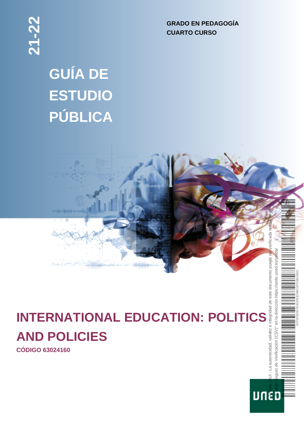**GRADO EN PEDAGOGÍA CUARTO CURSO**

# **GUÍA DE ESTUDIO PÚBLICA**



บทย้อ

# **INTERNATIONAL EDUCATION: POLITICS AND POLICIES**

**CÓDIGO 63024160**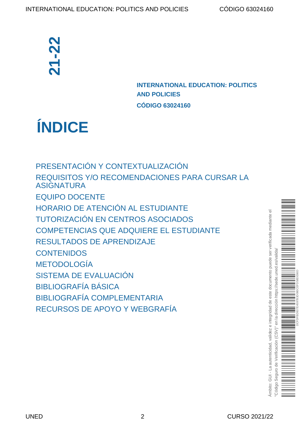**INTERNATIONAL EDUCATION: POLITICS AND POLICIES CÓDIGO 63024160**

# **ÍNDICE**

[PRESENTACIÓN Y CONTEXTUALIZACIÓN](#page-2-0) [REQUISITOS Y/O RECOMENDACIONES PARA CURSAR LA](#page-2-1) [ASIGNATURA](#page-2-1) [EQUIPO DOCENTE](#page-3-0) [HORARIO DE ATENCIÓN AL ESTUDIANTE](#page-3-1) [TUTORIZACIÓN EN CENTROS ASOCIADOS](#page-3-2) [COMPETENCIAS QUE ADQUIERE EL ESTUDIANTE](#page-3-2) [RESULTADOS DE APRENDIZAJE](#page-4-0) **[CONTENIDOS](#page-4-1)** [METODOLOGÍA](#page-6-0) [SISTEMA DE EVALUACIÓN](#page-6-1) [BIBLIOGRAFÍA BÁSICA](#page-7-0) [BIBLIOGRAFÍA COMPLEMENTARIA](#page-7-1) RECURSOS DE APOYO Y WEBSPAFÍA<br>
RECULSOS DE APOYO Y CONTEXTUALIZACI<br>
REQUISITOS Y/O RECOMENDACIONES<br>
ASIGNATURA<br>
EQUIPO DOCENTE<br>
HORARIO DE ATENCIÓN AL ESTUDIAN<br>
TUTORIZACIÓN EN CENTROS ASOCIA<br>
COMPETENCIAS QUE ADQUIERE EL

kmbito: GUI - La autenticidad, validez e integridad de este documento puede ser verificada mediante el Ámbito: GUI - La autenticidad, validez e integridad de este documento puede ser verificada mediante el "Código Seguro de Verificación (CSV)" en la dirección https://sede.uned.es/valida/ es/valida la dirección  $\overline{a}$ rCSV<sup>"</sup> erificación 읏 Sequro "Código \$

DCFDFBD937E4597B3D080CEFD58DE66D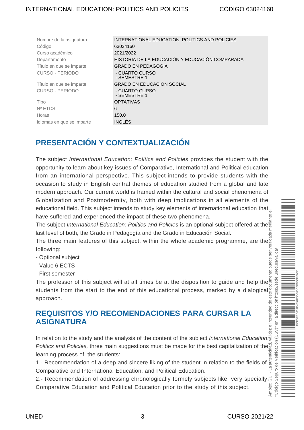| Nombre de la asignatura   | INTERNATIONAL EDUCATION: POLITICS AND POLICIES |
|---------------------------|------------------------------------------------|
| Código                    | 63024160                                       |
| Curso académico           | 2021/2022                                      |
| Departamento              | HISTORIA DE LA EDUCACIÓN Y EDUCACIÓN COMPARADA |
| Título en que se imparte  | <b>GRADO EN PEDAGOGÍA</b>                      |
| CURSO - PERIODO           | - CUARTO CURSO<br>- SEMESTRE 1                 |
| Título en que se imparte  | GRADO EN EDUCACIÓN SOCIAL                      |
| CURSO - PERIODO           | - CUARTO CURSO<br>- SEMESTRE 1                 |
| Tipo                      | <b>OPTATIVAS</b>                               |
| Nº ETCS                   | 6                                              |
| Horas                     | 150.0                                          |
| Idiomas en que se imparte | <b>INGLÉS</b>                                  |

# <span id="page-2-0"></span>**PRESENTACIÓN Y CONTEXTUALIZACIÓN**

The subject International Education: Politics and Policies provides the student with the opportunity to learn about key issues of Comparative, International and Political education from an international perspective. This subject intends to provide students with the occasion to study in English central themes of education studied from a global and late modern approach. Our current world is framed within the cultural and social phenomena of Globalization and Postmodernity, both with deep implications in all elements of the educational field. This subject intends to study key elements of international education that have suffered and experienced the impact of these two phenomena.

The subject International Education: Politics and Policies is an optional subject offered at the last level of both, the Grado in Pedagogía and the Grado in Educación Social.

The three main features of this subject, within the whole academic programme, are the following:

- Optional subject
- Value 6 ECTS
- First semester

The professor of this subject will at all times be at the disposition to guide and help the students from the start to the end of this educational process, marked by a dialogical approach.

### <span id="page-2-1"></span>**REQUISITOS Y/O RECOMENDACIONES PARA CURSAR LA ASIGNATURA**

In relation to the study and the analysis of the content of the subject *International Education*: Politics and Policies, three main suggestions must be made for the best capitalization of the learning process of the students: learning process of the students:<br>1.- Recommendation of a deep and sincere liking of the student in relation to the fields of  $\frac{2}{8}$ Ámbito: GUI - La autenticidad, validez e integridad de este documento puede ser verificada mediante el

Comparative and International Education, and Political Education.

2.- Recommendation of addressing chronologically formely subjects like, very specially, Ambito: Comparative Education and Political Education prior to the study of this subject.

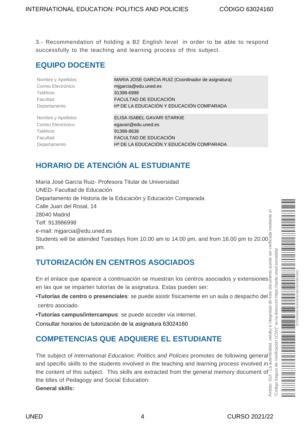3.- Recommendation of holding a B2 English level in order to be able to respond successfully to the teaching and learning process of this subject.

# <span id="page-3-0"></span>**EQUIPO DOCENTE**

| Nombre y Apellidos | MARIA JOSE GARCIA RUIZ (Coordinador de asignatura)   |
|--------------------|------------------------------------------------------|
| Correo Electrónico | migarcia@edu.uned.es                                 |
| Teléfono           | 91398-6998                                           |
| Facultad           | FACULTAD DE EDUCACIÓN                                |
| Departamento       | H <sup>a</sup> DE LA EDUCACIÓN Y EDUCACIÓN COMPARADA |
|                    |                                                      |
| Nombre y Apellidos | ELISA ISABEL GAVARI STARKIE                          |
| Correo Electrónico | egavari@edu.uned.es                                  |
| Teléfono           | 91398-8638                                           |
| Facultad           | FACULTAD DE EDUCACIÓN                                |
| Departamento       | H <sup>a</sup> DE LA EDUCACIÓN Y EDUCACIÓN COMPARADA |
|                    |                                                      |

# <span id="page-3-1"></span>**HORARIO DE ATENCIÓN AL ESTUDIANTE**

María José García Ruiz- Profesora Titular de Universidad UNED- Facultad de Educación Departamento de Historia de la Educación y Educación Comparada Calle Juan del Rosal, 14 28040 Madrid Telf: 913986998 e-mail: [mjgarcia@edu.uned.es](mailto:mjgarcia@edu.uned.es) Students will be attended Tuesdays from 10.00 am to 14.00 pm, and from 16.00 pm to 20.00 pm. Ámbito: GUI - La autenticidad, validez e integridad de este documento puede ser verificada mediante el

# <span id="page-3-2"></span>**TUTORIZACIÓN EN CENTROS ASOCIADOS**

En el enlace que aparece a continuación se muestran los centros asociados y extensiones en las que se imparten tutorías de la asignatura. Estas pueden ser:

- **• Tutorías de centro o presenciales**: se puede asistir físicamente en un aula o despacho del centro asociado.
- **• Tutorías campus/intercampus**: se puede acceder vía internet.

[Consultar horarios de tutorización de la asignatura 63024160](https://akademosweb.uned.es/Default.aspx?id_servicio=19&modo_23=1&asigna=63024160)

# **COMPETENCIAS QUE ADQUIERE EL ESTUDIANTE**

The subject of International Education: Politics and Policies promotes de following general and specific skills to the students involved in the teaching and learning process involved in the content of this subject. This skills are extracted from the general memory document of the titles of Pedagogy and Social Education:<br> **General skills:**<br> **General skills:** the titles of Pedagogy and Social Education: **General skills:**

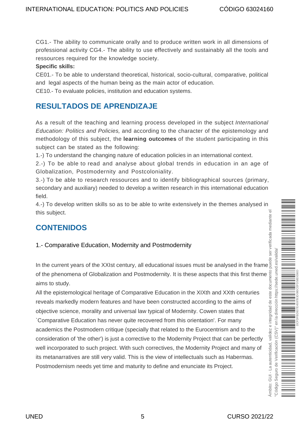CG1.- The ability to communicate orally and to produce written work in all dimensions of professional activity CG4.- The ability to use effectively and sustainably all the tools and ressources required for the knowledge society.

#### **Specific skills:**

CE01.- To be able to understand theoretical, historical, socio-cultural, comparative, political and legal aspects of the human being as the main actor of education.

CE10.- To evaluate policies, institution and education systems.

## <span id="page-4-0"></span>**RESULTADOS DE APRENDIZAJE**

As a result of the teaching and learning process developed in the subject International Education: Politics and Policies, and according to the character of the epistemology and methodology of this subject, the **learning outcomes** of the student participating in this subject can be stated as the following:

1.-) To understand the changing nature of education policies in an international context.

2.-) To be able to read and analyse about global trends in education in an age of Globalization, Postmodernity and Postcoloniality.

3.-) To be able to research ressources and to identify bibliographical sources (primary, secondary and auxiliary) needed to develop a written research in this international education field.

4.-) To develop written skills so as to be able to write extensively in the themes analysed in this subject.

# <span id="page-4-1"></span>**CONTENIDOS**

### 1.- Comparative Education, Modernity and Postmodernity

In the current years of the XXIst century, all educational issues must be analysed in the frame of the phenomena of Globalization and Postmodernity. It is these aspects that this first theme aims to study.

All the epistemological heritage of Comparative Education in the XIXth and XXth centuries reveals markedly modern features and have been constructed according to the aims of objective science, morality and universal law typical of Modernity. Cowen states that `Comparative Education has never quite recovered from this orientation'. For many academics the Postmodern critique (specially that related to the Eurocentrism and to the consideration of 'the other') is just a corrective to the Modernity Project that can be perfectly well incorporated to such project. With such correctives, the Modernity Project and many of its metanarratives are still very valid. This is the view of intellectuals such as Habermas. Postmodernism needs yet time and maturity to define and enunciate its Project.

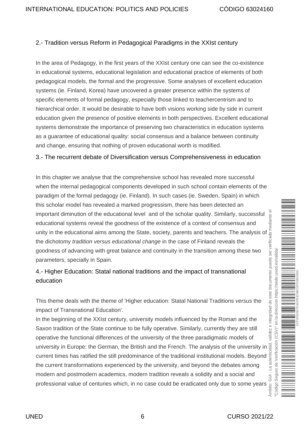#### 2.- Tradition versus Reform in Pedagogical Paradigms in the XXIst century

In the area of Pedagogy, in the first years of the XXIst century one can see the co-existence in educational systems, educational legislation and educational practice of elements of both pedagogical models, the formal and the progressive. Some analyses of excellent education systems (ie. Finland, Korea) have uncovered a greater presence within the systems of specific elements of formal pedagogy, especially those linked to teachercentrism and to hierarchical order. It would be desirable to have both visions working side by side in current education given the presence of positive elements in both perspectives. Excellent educational systems demonstrate the importance of preserving two characteristics in education systems as a guarantee of educational quality: social consensus and a balance between continuity and change, ensuring that nothing of proven educational worth is modified.

#### 3.- The recurrent debate of Diversification versus Comprehensiveness in education

In this chapter we analyse that the comprehensive school has revealed more successful when the internal pedagogical components developed in such school contain elements of the paradigm of the formal pedagogy (ie. Finland). In such cases (ie. Sweden, Spain) in which this scholar model has revealed a marked progressism, there has been detected an important diminution of the educational level and of the scholar quality. Similarly, successful educational systems reveal the goodness of the existence of a context of consensus and unity in the educational aims among the State, society, parents and teachers. The analysis of the dichotomy tradition versus educational change in the case of Finland reveals the goodness of advancing with great balance and continuity in the transition among these two parameters, specially in Spain.

### 4.- Higher Education: Statal national traditions and the impact of transnational education

This theme deals with the theme of 'Higher education: Statal National Traditions versus the impact of Transnational Education'.

In the beginning of the XXIst century, university models influenced by the Roman and the Saxon tradition of the State continue to be fully operative. Similarly, currently they are still operative the functional differences of the university of the three paradigmatic models of university in Europe: the German, the British and the French. The analysis of the university in current times has ratified the still predominance of the traditional institutional models. Beyond the current transformations experienced by the university, and beyond the debates among modern and postmodern academics, modern tradition reveals a solidity and a social and professional value of centuries which, in no case could be eradicated only due to some years

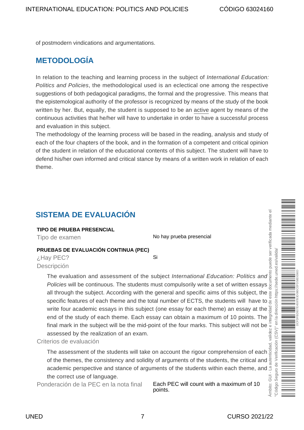of postmodern vindications and argumentations.

# <span id="page-6-0"></span>**METODOLOGÍA**

In relation to the teaching and learning process in the subject of *International Education:* Politics and Policies, the methodological used is an eclectical one among the respective suggestions of both pedagogical paradigms, the formal and the progressive. This means that the epistemological authority of the professor is recognized by means of the study of the book written by her. But, equally, the student is supposed to be an active agent by means of the continuous activities that he/her will have to undertake in order to have a successful process and evaluation in this subject.

The methodology of the learning process will be based in the reading, analysis and study of each of the four chapters of the book, and in the formation of a competent and critical opinion of the student in relation of the educational contents of this subject. The student will have to defend his/her own informed and critical stance by means of a written work in relation of each theme.

# <span id="page-6-1"></span>**SISTEMA DE EVALUACIÓN**

#### **TIPO DE PRUEBA PRESENCIAL**

Tipo de examen No hay prueba presencial

#### **PRUEBAS DE EVALUACIÓN CONTINUA (PEC)**

¿Hay PEC? Si Descripción

The evaluation and assessment of the subject International Education: Politics and Policies will be continuous. The students must compulsorily write a set of written essays all through the subject. According with the general and specific aims of this subject, the ste specific features of each theme and the total number of ECTS, the students will have to 유 write four academic essays in this subject (one essay for each theme) an essay at the  $\frac{8}{9}$ end of the study of each theme. Each essay can obtain a maximum of 10 points. The final mark in the subject will be the mid-point of the four marks. This subject will not be assessed by the realization of an exam.

Criterios de evaluación

The assessment of the students will take on account the rigour comprehension of each of the themes, the consistency and solidity of arguments of the students, the critical and academic perspective and stance of arguments of the students within each theme, and the correct use of language.

Ponderación de la PEC en la nota final Each PEC will count with a maximum of 10 points.

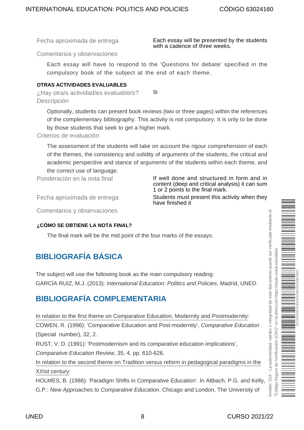Fecha aproximada de entrega **Each essay will be presented by the students** with a cadence of three weeks.

Comentarios y observaciones

Each essay will have to respond to the 'Questions for debate' specified in the compulsory book of the subject at the end of each theme.

#### **OTRAS ACTIVIDADES EVALUABLES**

```
¿Hay otra/s actividad/es evaluable/s? Si
Descripción
```
Optionally, students can present book reviews (two or three pages) within the references of the complementary bibliography. This activity is not compulsory. It is only to be done by those students that seek to get a higher mark.

Criterios de evaluación

The assessment of the students will take on account the rigour comprehension of each of the themes, the consistency and solidity of arguments of the students, the critical and academic perspective and stance of arguments of the students within each theme, and the correct use of language.

Ponderación en la nota final If well done and structured in form and in

content (deep and critical analysis) it can sum 1 or 2 points to the final mark.

Fecha aproximada de entrega Students must present this activity when they have finished it

Comentarios y observaciones

### **¿CÓMO SE OBTIENE LA NOTA FINAL?**

The final mark will be the mid point of the four marks of the essays.

# <span id="page-7-0"></span>**BIBLIOGRAFÍA BÁSICA**

The subject will use the following book as the main compulsory reading: GARCÍA RUIZ, M.J. (2013): International Education: Politics and Policies. Madrid, UNED.

# <span id="page-7-1"></span>**BIBLIOGRAFÍA COMPLEMENTARIA**

In relation to the first theme on Comparative Education, Modernity and Postmodernity:

COWEN, R. (1996): 'Comparative Education and Post-modernity', Comparative Education (Special number), 32, 2.

RUST, V. D. (1991): 'Postmodernism and its comparative education implications',

Comparative Education Review, 35, 4, pp. 610-626.

In relation to the second theme on Tradition versus reform in pedagogical paradigms in the XXIst century:

HOLMES, B. (1986): 'Paradigm Shifts in Comparative Education'. In Altbach, P.G. and Kelly, G.P.: New Approaches to Comparative Education. Chicago and London, The University of